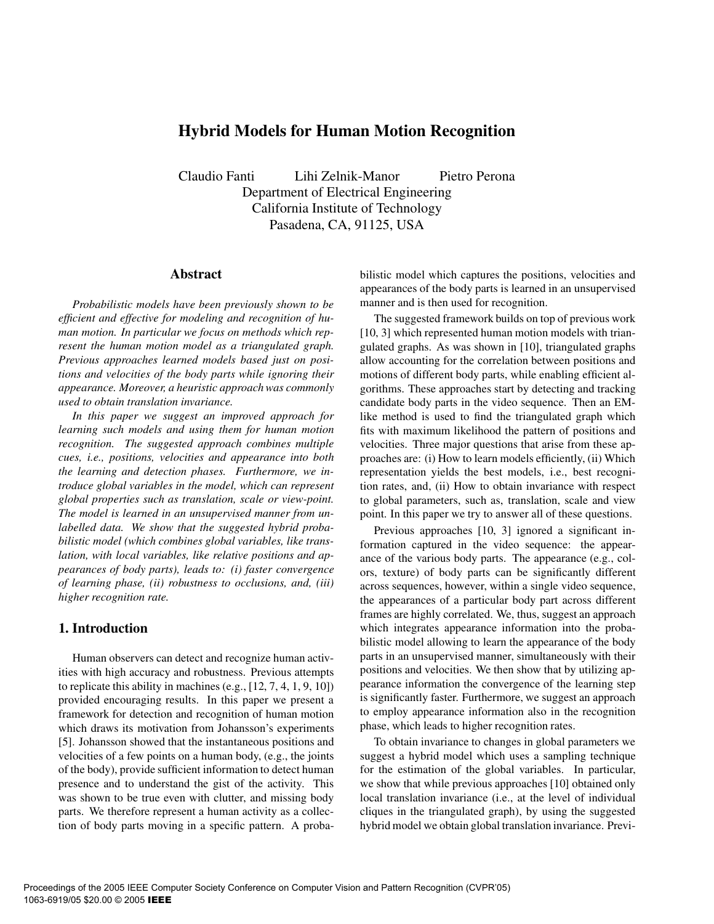# **Hybrid Models for Human Motion Recognition**

Claudio Fanti Lihi Zelnik-Manor Pietro Perona Department of Electrical Engineering California Institute of Technology Pasadena, CA, 91125, USA

### **Abstract**

*Probabilistic models have been previously shown to be efficient and effective for modeling and recognition of human motion. In particular we focus on methods which represent the human motion model as a triangulated graph. Previous approaches learned models based just on positions and velocities of the body parts while ignoring their appearance. Moreover, a heuristic approach was commonly used to obtain translation invariance.*

*In this paper we suggest an improved approach for learning such models and using them for human motion recognition. The suggested approach combines multiple cues, i.e., positions, velocities and appearance into both the learning and detection phases. Furthermore, we introduce global variables in the model, which can represent global properties such as translation, scale or view-point. The model is learned in an unsupervised manner from unlabelled data. We show that the suggested hybrid probabilistic model (which combines global variables, like translation, with local variables, like relative positions and appearances of body parts), leads to: (i) faster convergence of learning phase, (ii) robustness to occlusions, and, (iii) higher recognition rate.*

## **1. Introduction**

Human observers can detect and recognize human activities with high accuracy and robustness. Previous attempts to replicate this ability in machines (e.g., [12, 7, 4, 1, 9, 10]) provided encouraging results. In this paper we present a framework for detection and recognition of human motion which draws its motivation from Johansson's experiments [5]. Johansson showed that the instantaneous positions and velocities of a few points on a human body, (e.g., the joints of the body), provide sufficient information to detect human presence and to understand the gist of the activity. This was shown to be true even with clutter, and missing body parts. We therefore represent a human activity as a collection of body parts moving in a specific pattern. A probabilistic model which captures the positions, velocities and appearances of the body parts is learned in an unsupervised manner and is then used for recognition.

The suggested framework builds on top of previous work [10, 3] which represented human motion models with triangulated graphs. As was shown in [10], triangulated graphs allow accounting for the correlation between positions and motions of different body parts, while enabling efficient algorithms. These approaches start by detecting and tracking candidate body parts in the video sequence. Then an EMlike method is used to find the triangulated graph which fits with maximum likelihood the pattern of positions and velocities. Three major questions that arise from these approaches are: (i) How to learn models efficiently, (ii) Which representation yields the best models, i.e., best recognition rates, and, (ii) How to obtain invariance with respect to global parameters, such as, translation, scale and view point. In this paper we try to answer all of these questions.

Previous approaches [10, 3] ignored a significant information captured in the video sequence: the appearance of the various body parts. The appearance (e.g., colors, texture) of body parts can be significantly different across sequences, however, within a single video sequence, the appearances of a particular body part across different frames are highly correlated. We, thus, suggest an approach which integrates appearance information into the probabilistic model allowing to learn the appearance of the body parts in an unsupervised manner, simultaneously with their positions and velocities. We then show that by utilizing appearance information the convergence of the learning step is significantly faster. Furthermore, we suggest an approach to employ appearance information also in the recognition phase, which leads to higher recognition rates.

To obtain invariance to changes in global parameters we suggest a hybrid model which uses a sampling technique for the estimation of the global variables. In particular, we show that while previous approaches [10] obtained only local translation invariance (i.e., at the level of individual cliques in the triangulated graph), by using the suggested hybrid model we obtain global translation invariance. Previ-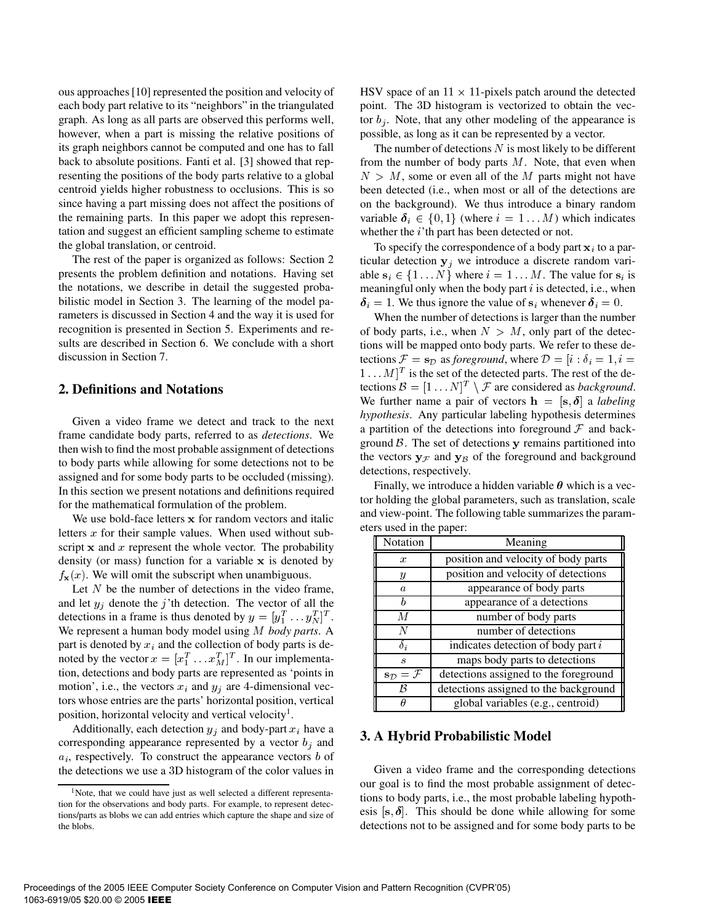ous approaches [10] represented the position and velocity of each body part relative to its "neighbors" in the triangulated graph. As long as all parts are observed this performs well, however, when a part is missing the relative positions of its graph neighbors cannot be computed and one has to fall back to absolute positions. Fanti et al. [3] showed that representing the positions of the body parts relative to a global centroid yields higher robustness to occlusions. This is so since having a part missing does not affect the positions of the remaining parts. In this paper we adopt this representation and suggest an efficient sampling scheme to estimate the global translation, or centroid.

The rest of the paper is organized as follows: Section 2 presents the problem definition and notations. Having set the notations, we describe in detail the suggested probabilistic model in Section 3. The learning of the model parameters is discussed in Section 4 and the way it is used for recognition is presented in Section 5. Experiments and results are described in Section 6. We conclude with a short discussion in Section 7.

## **2. Definitions and Notations**

Given a video frame we detect and track to the next frame candidate body parts, referred to as *detections*. We then wish to find the most probable assignment of detections to body parts while allowing for some detections not to be assigned and for some body parts to be occluded (missing). In this section we present notations and definitions required for the mathematical formulation of the problem.

We use bold-face letters  $x$  for random vectors and italic letters  $x$  for their sample values. When used without subscript  $x$  and  $x$  represent the whole vector. The probability density (or mass) function for a variable  $x$  is denoted by  $f_{\mathbf{x}}(x)$ . We will omit the subscript when unambiguous.

Let  $N$  be the number of detections in the video frame, and let  $y_i$  denote the j'th detection. The vector of all the detections in a frame is thus denoted by  $y = [y_1^T \dots y_N^T]^T$ . We represent a human body model using M body parts. A part is denoted by  $x_i$  and the collection of body parts is denoted by the vector  $x = [x_1^T \dots x_M^T]^T$ . In our implementation, detections and body parts are represented as 'points in motion', i.e., the vectors  $x_i$  and  $y_j$  are 4-dimensional vectors whose entries are the parts' horizontal position, vertical position, horizontal velocity and vertical velocity<sup>1</sup>.

Additionally, each detection  $y_i$  and body-part  $x_i$  have a corresponding appearance represented by a vector  $b_j$  and  $a_i$ , respectively. To construct the appearance vectors  $b$  of the detections we use a D histogram of the color values in HSV space of an  $11 \times 11$ -pixels patch around the detected point. The 3D histogram is vectorized to obtain the vector  $b_i$ . Note, that any other modeling of the appearance is possible, as long as it can be represented by a vector.

The number of detections  $N$  is most likely to be different from the number of body parts  $M$ . Note, that even when  $N > M$ , some or even all of the M parts might not have been detected (i.e., when most or all of the detections are on the background). We thus introduce a binary random variable  $\delta_i \in \{0,1\}$  (where  $i = 1...M$ ) which indicates whether the  $i$ 'th part has been detected or not.

To specify the correspondence of a body part  $x_i$  to a particular detection  $y_i$  we introduce a discrete random variable  $s_i \in \{1 \dots N\}$  where  $i = 1 \dots M$ . The value for  $s_i$  is meaningful only when the body part  $i$  is detected, i.e., when  $\delta_i = 1$ . We thus ignore the value of  $s_i$  whenever  $\delta_i = 0$ .

When the number of detections is larger than the number of body parts, i.e., when  $N > M$ , only part of the detections will be mapped onto body parts. We refer to these detections  $\mathcal{F} = s_{\mathcal{D}}$  as *foreground*, where  $\mathcal{D} = [i : \delta_i = 1, i =$  $i: [M]^T$  is the set of the detected parts. The rest of the detections  $\mathcal{B} = [1 \dots N]^T \setminus \mathcal{F}$  are considered as *background*. We further name a pair of vectors  $\mathbf{h} = [\mathbf{s}, \boldsymbol{\delta}]$  a *labeling hypothesis*. Any particular labeling hypothesis determines a partition of the detections into foreground  $\mathcal F$  and background  $\beta$ . The set of detections y remains partitioned into the vectors  $y_{\mathcal{F}}$  and  $y_{\mathcal{B}}$  of the foreground and background detections, respectively.

Finally, we introduce a hidden variable  $\theta$  which is a vector holding the global parameters, such as translation, scale and view-point. The following table summarizes the parameters used in the paper:

| Notation                               | Meaning                               |
|----------------------------------------|---------------------------------------|
| $\boldsymbol{x}$                       | position and velocity of body parts   |
| Y                                      | position and velocity of detections   |
| $\boldsymbol{a}$                       | appearance of body parts              |
|                                        | appearance of a detections            |
| М                                      | number of body parts                  |
| N                                      | number of detections                  |
| $\delta_i$                             | indicates detection of body part $i$  |
| S                                      | maps body parts to detections         |
| $\mathbf{s}_{\mathcal{D}}=\mathcal{F}$ | detections assigned to the foreground |
|                                        | detections assigned to the background |
|                                        | global variables (e.g., centroid)     |

## **3. A Hybrid Probabilistic Model**

Given a video frame and the corresponding detections our goal is to find the most probable assignment of detections to body parts, i.e., the most probable labeling hypothesis  $[s, \delta]$ . This should be done while allowing for some detections not to be assigned and for some body parts to be

<sup>&</sup>lt;sup>1</sup>Note, that we could have just as well selected a different representation for the observations and body parts. For example, to represent detections/parts as blobs we can add entries which capture the shape and size of the blobs.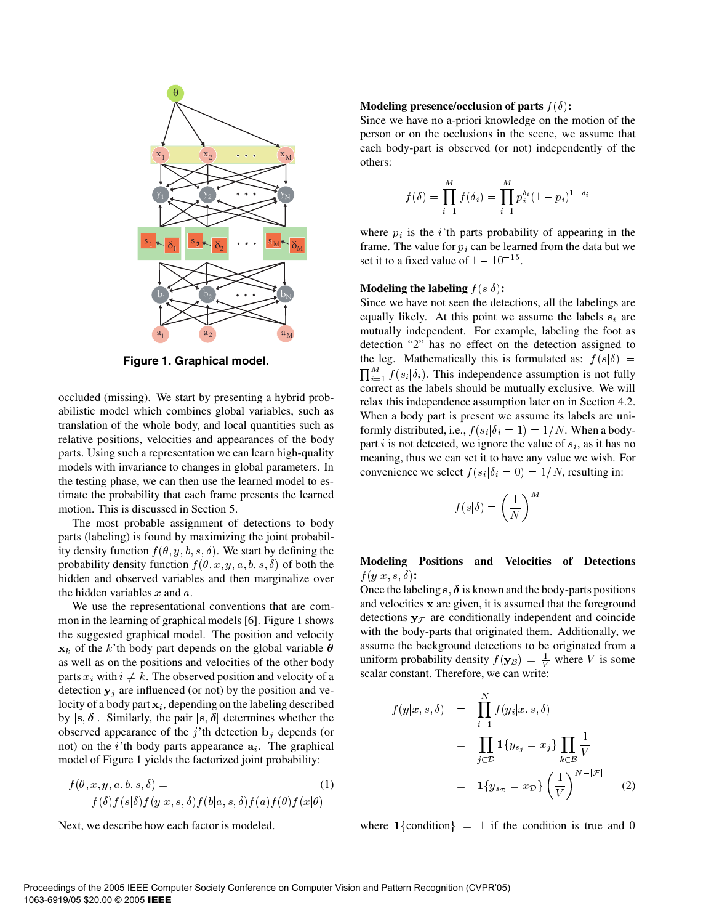

**Figure 1. Graphical model.**

occluded (missing). We start by presenting a hybrid probabilistic model which combines global variables, such as translation of the whole body, and local quantities such as relative positions, velocities and appearances of the body parts. Using such a representation we can learn high-quality models with invariance to changes in global parameters. In the testing phase, we can then use the learned model to estimate the probability that each frame presents the learned motion. This is discussed in Section 5.

The most probable assignment of detections to body parts (labeling) is found by maximizing the joint probability density function  $f(\theta, y, b, s, \delta)$ . We start by defining the probability density function  $f(\theta, x, y, a, b, s, \delta)$  of both the hidden and observed variables and then marginalize over the hidden variables  $x$  and  $a$ .

We use the representational conventions that are common in the learning of graphical models [6]. Figure 1 shows the suggested graphical model. The position and velocity  $x_k$  of the k'th body part depends on the global variable  $\theta$ as well as on the positions and velocities of the other body parts  $x_i$  with  $i \neq k$ . The observed position and velocity of a detection  $y_j$  are influenced (or not) by the position and velocity of a body part  $x_i$ , depending on the labeling described by  $[s, \delta]$ . Similarly, the pair  $[s, \delta]$  determines whether the observed appearance of the *j*'th detection  $\mathbf{b}_j$  depends (or not) on the *i*'th body parts appearance  $a_i$ . The graphical model of Figure 1 yields the factorized joint probability:

$$
f(\theta, x, y, a, b, s, \delta) =
$$
  
\n
$$
f(\delta) f(s|\delta) f(y|x, s, \delta) f(b|a, s, \delta) f(a) f(\theta) f(x|\theta)
$$
\n(1)

Next, we describe how each factor is modeled.

#### **Modeling presence/occlusion of parts**  $f(\delta)$ :

Since we have no a-priori knowledge on the motion of the person or on the occlusions in the scene, we assume that each body-part is observed (or not) independently of the others:

$$
f(\delta) = \prod_{i=1}^{M} f(\delta_i) = \prod_{i=1}^{M} p_i^{\delta_i} (1 - p_i)^{1 - \delta_i}
$$

where  $p_i$  is the *i*'th parts probability of appearing in the frame. The value for  $p_i$  can be learned from the data but we set it to a fixed value of  $1 - 10^{-15}$ .

## **Modeling the labeling**  $f(s|\delta)$ :

Since we have not seen the detections, all the labelings are equally likely. At this point we assume the labels  $s_i$  are mutually independent. For example, labeling the foot as detection "2" has no effect on the detection assigned to the leg. Mathematically this is formulated as:  $f(s|\delta)$  =  $\prod_{i=1}^{M} f(s_i | \delta_i)$ . This independence assumption is not fully correct as the labels should be mutually exclusive. We will relax this independence assumption later on in Section 4.2. When a body part is present we assume its labels are uniformly distributed, i.e.,  $f(s_i|\delta_i=1)=1/N$ . When a bodypart  $i$  is not detected, we ignore the value of  $s_i$ , as it has no meaning, thus we can set it to have any value we wish. For convenience we select  $f(s_i|\delta_i=0) = 1/N$ , resulting in:

$$
f(s|\delta) = \left(\frac{1}{N}\right)^M
$$

## **Modeling Positions and Velocities of Detections**  $f(y|x, s, \delta)$ :

Once the labeling  $s, \delta$  is known and the body-parts positions and velocities x are given, it is assumed that the foreground detections  $y \tau$  are conditionally independent and coincide with the body-parts that originated them. Additionally, we assume the background detections to be originated from a uniform probability density  $f(y_\mathcal{B}) = \frac{1}{V}$  where V is some scalar constant. Therefore, we can write:

$$
f(y|x, s, \delta) = \prod_{i=1}^{N} f(y_i|x, s, \delta)
$$
  
= 
$$
\prod_{j \in \mathcal{D}} 1\{y_{s_j} = x_j\} \prod_{k \in \mathcal{B}} \frac{1}{V}
$$
  
= 
$$
1\{y_{s_{\mathcal{D}}} = x_{\mathcal{D}}\} \left(\frac{1}{V}\right)^{N-|\mathcal{F}|}
$$
 (2)

where  $1$ {condition} = 1 if the condition is true and 0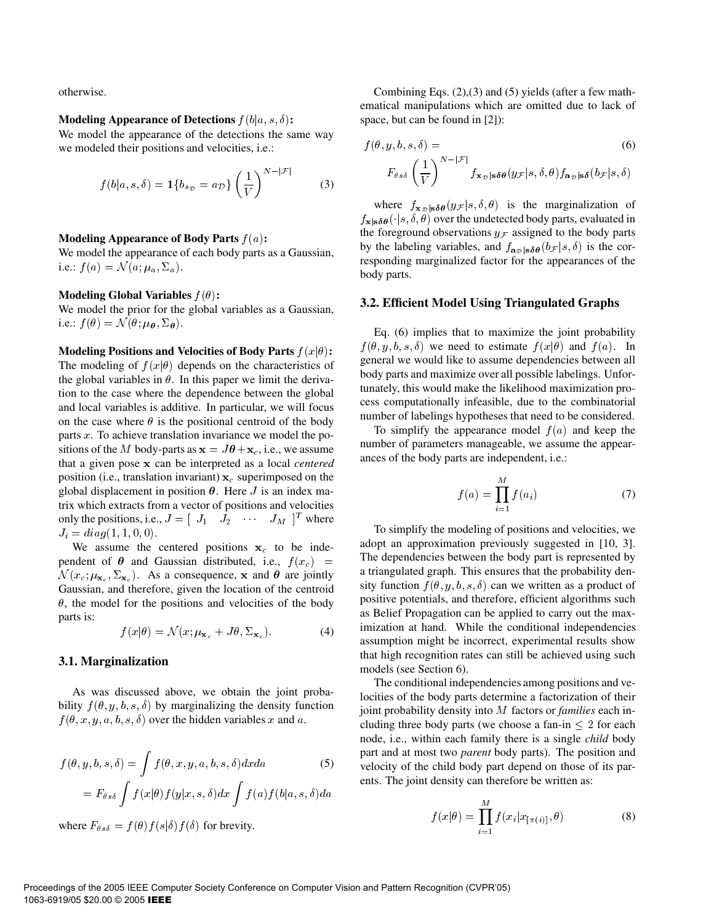otherwise.

**Modeling Appearance of Detections**  $f(b|a,s,\delta)$ :

We model the appearance of the detections the same way we modeled their positions and velocities, i.e.:

$$
f(b|a, s, \delta) = \mathbf{1}\{b_{s_{\mathcal{D}}} = a_{\mathcal{D}}\}\left(\frac{1}{V}\right)^{N-|\mathcal{F}|}
$$
(3)

#### $\bf{Modeling}\ \bf{Appearance}\ \bf{of}\ \bf{Body}\ \bf{Parts}\ \it{f(a)}\bm{:}\ \bf{\color{red}$

We model the appearance of each body parts as a Gaussian, i.e.:  $f(a) = \mathcal{N}(a; \mu_a, \Sigma_a)$ .

#### **Modeling Global Variables**  $f(\theta)$ :

We model the prior for the global variables as a Gaussian, i.e.:  $f(\theta) = \mathcal{N}(\theta; \mu_{\theta}, \Sigma_{\theta}).$ 

**Modeling Positions and Velocities of Body Parts**  $f(x|\theta)$ **:** The modeling of  $f(x|\theta)$  depends on the characteristics of the global variables in  $\theta$ . In this paper we limit the derivation to the case where the dependence between the global and local variables is additive. In particular, we will focus on the case where  $\theta$  is the positional centroid of the body parts  $x$ . To achieve translation invariance we model the positions of the M body-parts as  $x = J\theta + x_c$ , i.e., we assume that a given pose x can be interpreted as a local *centered* position (i.e., translation invariant)  $x_c$  superimposed on the global displacement in position  $\theta$ . Here J is an index matrix which extracts from a vector of positions and velocities only the positions, i.e.,  $J = [J_1 \quad J_2 \quad J_M]^T$  where  $J_i = diag(1, 1, 0, 0).$ 

We assume the centered positions  $x_c$  to be independent of  $\theta$  and Gaussian distributed, i.e.,  $f(x_c)$  =  $\mathcal{N}(x_c; \mu_{\mathbf{x}_c}, \Sigma_{\mathbf{x}_c})$ . As a consequence, x and  $\theta$  are jointly Gaussian, and therefore, given the location of the centroid  $\theta$ , the model for the positions and velocities of the body parts is:

$$
f(x|\theta) = \mathcal{N}(x; \mu_{\mathbf{x}_c} + J\theta, \Sigma_{\mathbf{x}_c}).
$$
 (4)

#### **3.1. Marginalization**

As was discussed above, we obtain the joint probability  $f(\theta, y, b, s, \delta)$  by marginalizing the density function  $f(\theta, x, y, a, b, s, \delta)$  over the hidden variables x and a.

$$
f(\theta, y, b, s, \delta) = \int f(\theta, x, y, a, b, s, \delta) dx da
$$
 (5)  
=  $F_{\theta s \delta} \int f(x|\theta) f(y|x, s, \delta) dx \int f(a) f(b|a, s, \delta) da$ 

where  $F_{\theta s\delta} = f(\theta) f(s|\delta) f(\delta)$  for brevity.

Combining Eqs. (2),(3) and (5) yields (after a few mathematical manipulations which are omitted due to lack of space, but can be found in [2]):

$$
f(\theta, y, b, s, \delta) =
$$
  
\n
$$
F_{\theta s\delta} \left(\frac{1}{V}\right)^{N-|\mathcal{F}|} f_{\mathbf{x}_{\mathcal{D}} | s\delta \theta}(y_{\mathcal{F}} | s, \delta, \theta) f_{\mathbf{a}_{\mathcal{D}} | s\delta}(b_{\mathcal{F}} | s, \delta)
$$
\n(6)

where  $f_{\mathbf{x}_{\mathcal{D}} | \mathbf{s} \delta \theta}(y_{\mathcal{F}} | s, \delta, \theta)$  is the marginalization of  $f_{\mathbf{x}|\mathbf{s}\delta\theta}(\cdot|s,\delta,\theta)$  over the undetected body parts, evaluated in the foreground observations  $y_{\mathcal{F}}$  assigned to the body parts by the labeling variables, and  $f_{a_p | s \delta \theta}(b_f | s, \delta)$  is the corresponding marginalized factor for the appearances of the body parts.

#### **3.2. Efficient Model Using Triangulated Graphs**

Eq. (6) implies that to maximize the joint probability  $f(\theta, y, b, s, \delta)$  we need to estimate  $f(x|\theta)$  and  $f(a)$ . In general we would like to assume dependencies between all body parts and maximize over all possible labelings. Unfortunately, this would make the likelihood maximization process computationally infeasible, due to the combinatorial number of labelings hypotheses that need to be considered.

To simplify the appearance model  $f(a)$  and keep the number of parameters manageable, we assume the appearances of the body parts are independent, i.e.:

$$
f(a) = \prod_{i=1}^{M} f(a_i)
$$
 (7)

 a triangulated graph. This ensures that the probability den-To simplify the modeling of positions and velocities, we adopt an approximation previously suggested in [10, 3]. The dependencies between the body part is represented by sity function  $f(\theta, y, b, s, \delta)$  can we written as a product of positive potentials, and therefore, efficient algorithms such as Belief Propagation can be applied to carry out the maximization at hand. While the conditional independencies assumption might be incorrect, experimental results show that high recognition rates can still be achieved using such models (see Section 6).

The conditional independencies among positions and velocities of the body parts determine a factorization of their joint probability density into M factors or *families* each including three body parts (we choose a fan-in  $\leq 2$  for each node, i.e., within each family there is a single *child* body part and at most two *parent* body parts). The position and velocity of the child body part depend on those of its parents. The joint density can therefore be written as:

$$
f(x|\theta) = \prod_{i=1}^{M} f(x_i|x_{[\pi(i)]}, \theta)
$$
 (8)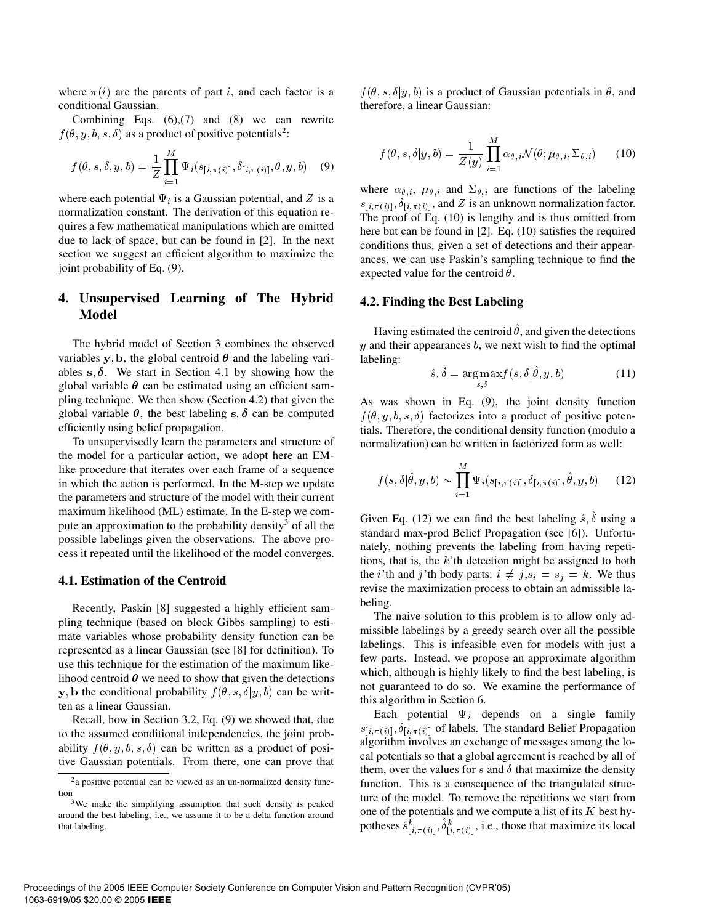where  $\pi(i)$  are the parents of part *i*, and each factor is a conditional Gaussian.

Combining Eqs. (6),(7) and (8) we can rewrite  $f(\theta, y, b, s, \delta)$  as a product of positive potentials<sup>2</sup>:

$$
f(\theta, s, \delta, y, b) = \frac{1}{Z} \prod_{i=1}^{M} \Psi_i(s_{[i, \pi(i)]}, \delta_{[i, \pi(i)]}, \theta, y, b)
$$
(9)

where each potential  $\Psi_i$  is a Gaussian potential, and Z is a normalization constant. The derivation of this equation requires a few mathematical manipulations which are omitted due to lack of space, but can be found in [2]. In the next section we suggest an efficient algorithm to maximize the joint probability of Eq. (9).

# **4. Unsupervised Learning of The Hybrid Model**

The hybrid model of Section 3 combines the observed variables y, b, the global centroid  $\theta$  and the labeling variables  $s, \delta$ . We start in Section 4.1 by showing how the global variable  $\theta$  can be estimated using an efficient sampling technique. We then show (Section 4.2) that given the global variable  $\theta$ , the best labeling s,  $\delta$  can be computed efficiently using belief propagation.

To unsupervisedly learn the parameters and structure of the model for a particular action, we adopt here an EMlike procedure that iterates over each frame of a sequence in which the action is performed. In the M-step we update the parameters and structure of the model with their current maximum likelihood (ML) estimate. In the E-step we compute an approximation to the probability density<sup>3</sup> of all the possible labelings given the observations. The above process it repeated until the likelihood of the model converges.

## **4.1. Estimation of the Centroid**

Recently, Paskin [8] suggested a highly efficient sampling technique (based on block Gibbs sampling) to estimate variables whose probability density function can be represented as a linear Gaussian (see [8] for definition). To use this technique for the estimation of the maximum likelihood centroid  $\theta$  we need to show that given the detections **y**, **b** the conditional probability  $f(\theta, s, \delta | y, b)$  can be written as a linear Gaussian.

Recall, how in Section 3.2, Eq. (9) we showed that, due to the assumed conditional independencies, the joint probability  $f(\theta, y, b, s, \delta)$  can be written as a product of positive Gaussian potentials. From there, one can prove that

 $f(\theta, s, \delta | y, b)$  is a product of Gaussian potentials in  $\theta$ , and therefore, a linear Gaussian:

$$
f(\theta, s, \delta | y, b) = \frac{1}{Z(y)} \prod_{i=1}^{M} \alpha_{\theta, i} \mathcal{N}(\theta; \mu_{\theta, i}, \Sigma_{\theta, i})
$$
 (10)

where  $\alpha_{\theta,i}$ ,  $\mu_{\theta,i}$  and  $\Sigma_{\theta,i}$  are functions of the labeling  $s_{[i,\pi(i)]}, \delta_{[i,\pi(i)]}$ , and Z is an unknown normalization factor. The proof of Eq. (10) is lengthy and is thus omitted from here but can be found in [2]. Eq. (10) satisfies the required conditions thus, given a set of detections and their appearances, we can use Paskin's sampling technique to find the expected value for the centroid  $\theta$ .

#### **4.2. Finding the Best Labeling**

Having estimated the centroid  $\theta$ , and given the detections  $y$  and their appearances  $b$ , we next wish to find the optimal labeling:

$$
\hat{s}, \hat{\delta} = \underset{s, \delta}{\arg \max} f(s, \delta | \hat{\theta}, y, b) \tag{11}
$$

As was shown in Eq. (9), the joint density function  $f(\theta, y, b, s, \delta)$  factorizes into a product of positive potentials. Therefore, the conditional density function (modulo a normalization) can be written in factorized form as well:

$$
f(s, \delta | \hat{\theta}, y, b) \sim \prod_{i=1}^{M} \Psi_i(s_{[i, \pi(i)]}, \delta_{[i, \pi(i)]}, \hat{\theta}, y, b)
$$
 (12)

Given Eq. (12) we can find the best labeling  $\hat{s}$ ,  $\delta$  using a standard max-prod Belief Propagation (see [6]). Unfortunately, nothing prevents the labeling from having repetitions, that is, the  $k$ 'th detection might be assigned to both the *i*'th and *j*'th body parts:  $i \neq j$ ,  $s_i = s_j = k$ . We thus revise the maximization process to obtain an admissible labeling.

The naive solution to this problem is to allow only admissible labelings by a greedy search over all the possible labelings. This is infeasible even for models with just a few parts. Instead, we propose an approximate algorithm which, although is highly likely to find the best labeling, is not guaranteed to do so. We examine the performance of this algorithm in Section 6.

Each potential  $\Psi_i$  depends on a single family  $s_{[i,\pi(i)]}, \delta_{[i,\pi(i)]}$  of labels. The standard Belief Propagation algorithm involves an exchange of messages among the local potentials so that a global agreement is reached by all of them, over the values for  $s$  and  $\delta$  that maximize the density function. This is a consequence of the triangulated structure of the model. To remove the repetitions we start from one of the potentials and we compute a list of its  $K$  best hypotheses  $\hat{s}^k_{[i,\pi(i)]}, \delta^k_{[i,\pi(i)]}$ , i.e., those that maximize its local

-

-

<sup>2</sup>a positive potential can be viewed as an un-normalized density func-

tion<br> $3$ We make the simplifying assumption that such density is peaked around the best labeling, i.e., we assume it to be a delta function around that labeling.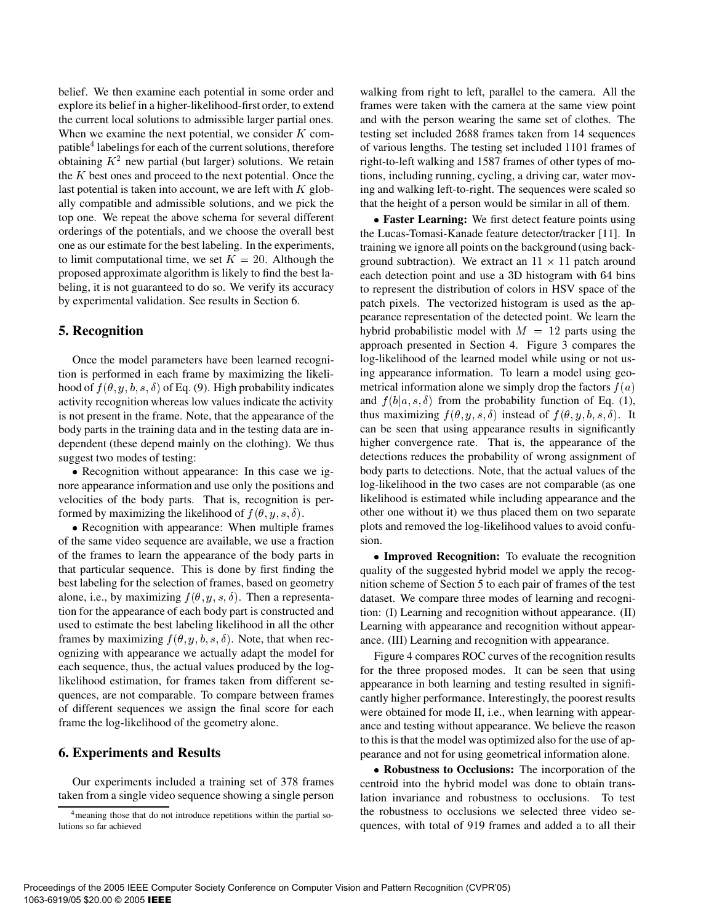belief. We then examine each potential in some order and explore its belief in a higher-likelihood-first order, to extend the current local solutions to admissible larger partial ones. When we examine the next potential, we consider  $K$  compatible<sup>4</sup> labelings for each of the current solutions, therefore obtaining  $K^2$  new partial (but larger) solutions. We retain the  $K$  best ones and proceed to the next potential. Once the last potential is taken into account, we are left with  $K$  globally compatible and admissible solutions, and we pick the top one. We repeat the above schema for several different orderings of the potentials, and we choose the overall best one as our estimate for the best labeling. In the experiments, to limit computational time, we set  $K = 20$ . Although the proposed approximate algorithm is likely to find the best labeling, it is not guaranteed to do so. We verify its accuracy by experimental validation. See results in Section 6.

## **5. Recognition**

Once the model parameters have been learned recognition is performed in each frame by maximizing the likelihood of  $f(\theta, y, b, s, \delta)$  of Eq. (9). High probability indicates activity recognition whereas low values indicate the activity is not present in the frame. Note, that the appearance of the body parts in the training data and in the testing data are independent (these depend mainly on the clothing). We thus suggest two modes of testing:

• Recognition without appearance: In this case we ignore appearance information and use only the positions and velocities of the body parts. That is, recognition is performed by maximizing the likelihood of  $f(\theta, y, s, \delta)$ . oth

• Recognition with appearance: When multiple frames of the same video sequence are available, we use a fraction of the frames to learn the appearance of the body parts in that particular sequence. This is done by first finding the best labeling for the selection of frames, based on geometry alone, i.e., by maximizing  $f(\theta, y, s, \delta)$ . Then a representation for the appearance of each body part is constructed and used to estimate the best labeling likelihood in all the other frames by maximizing  $f(\theta, y, b, s, \delta)$ . Note, that when recognizing with appearance we actually adapt the model for each sequence, thus, the actual values produced by the loglikelihood estimation, for frames taken from different sequences, are not comparable. To compare between frames of different sequences we assign the final score for each frame the log-likelihood of the geometry alone.

## **6. Experiments and Results**

Our experiments included a training set of 378 frames taken from a single video sequence showing a single person walking from right to left, parallel to the camera. All the frames were taken with the camera at the same view point and with the person wearing the same set of clothes. The testing set included 2688 frames taken from 14 sequences of various lengths. The testing set included 1101 frames of right-to-left walking and 1587 frames of other types of motions, including running, cycling, a driving car, water moving and walking left-to-right. The sequences were scaled so that the height of a person would be similar in all of them.

 **Faster Learning:** We first detect feature points using the Lucas-Tomasi-Kanade feature detector/tracker [11]. In training we ignore all points on the background (using background subtraction). We extract an  $11 \times 11$  patch around each detection point and use a 3D histogram with 64 bins to represent the distribution of colors in HSV space of the patch pixels. The vectorized histogram is used as the appearance representation of the detected point. We learn the hybrid probabilistic model with  $M = 12$  parts using the approach presented in Section 4. Figure 3 compares the log-likelihood of the learned model while using or not using appearance information. To learn a model using geometrical information alone we simply drop the factors  $f(a)$ and  $f(b|a, s, \delta)$  from the probability function of Eq. (1), thus maximizing  $f(\theta, y, s, \delta)$  instead of  $f(\theta, y, b, s, \delta)$ . It can be seen that using appearance results in significantly higher convergence rate. That is, the appearance of the detections reduces the probability of wrong assignment of body parts to detections. Note, that the actual values of the log-likelihood in the two cases are not comparable (as one likelihood is estimated while including appearance and the other one without it) we thus placed them on two separate plots and removed the log-likelihood values to avoid confusion.

 **Improved Recognition:** To evaluate the recognition quality of the suggested hybrid model we apply the recognition scheme of Section 5 to each pair of frames of the test dataset. We compare three modes of learning and recognition: (I) Learning and recognition without appearance. (II) Learning with appearance and recognition without appearance. (III) Learning and recognition with appearance.

Figure 4 compares ROC curves of the recognition results for the three proposed modes. It can be seen that using appearance in both learning and testing resulted in significantly higher performance. Interestingly, the poorest results were obtained for mode II, i.e., when learning with appearance and testing without appearance. We believe the reason to this is that the model was optimized also for the use of appearance and not for using geometrical information alone.

 **Robustness to Occlusions:** The incorporation of the centroid into the hybrid model was done to obtain translation invariance and robustness to occlusions. To test the robustness to occlusions we selected three video sequences, with total of 919 frames and added a to all their

<sup>&</sup>lt;sup>4</sup>meaning those that do not introduce repetitions within the partial solutions so far achieved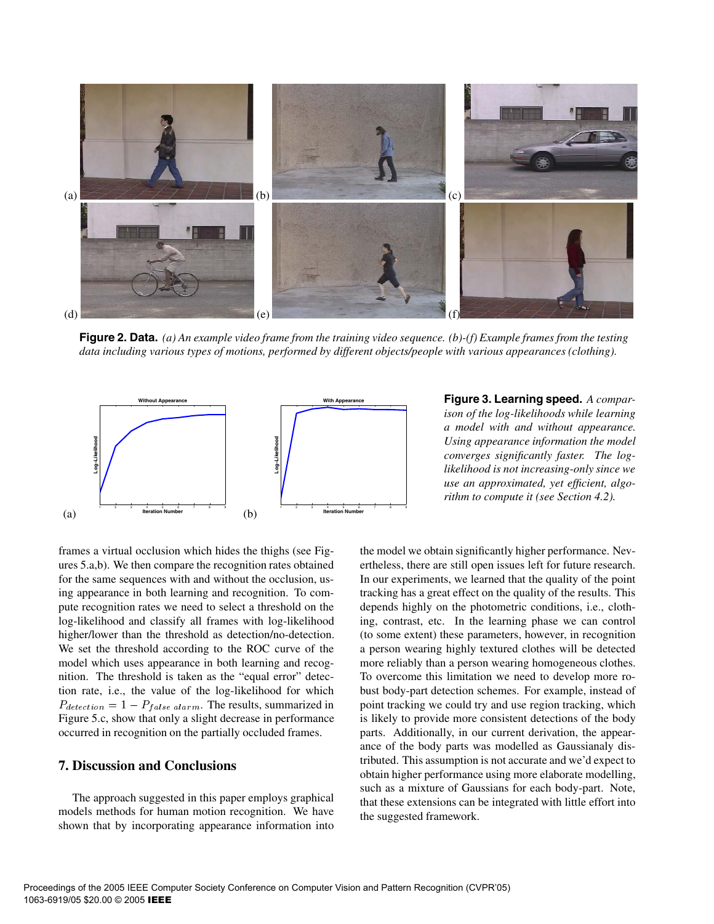

**Figure 2. Data.** *(a) An example video frame from the training video sequence. (b)-(f) Example frames from the testing data including various types of motions, performed by different objects/people with various appearances (clothing).*



**Figure 3. Learning speed.** *A comparison of the log-likelihoods while learning a model with and without appearance. Using appearance information the model converges significantly faster. The loglikelihood is not increasing-only since we use an approximated, yet efficient, algorithm to compute it (see Section 4.2).*

frames a virtual occlusion which hides the thighs (see Figures 5.a,b). We then compare the recognition rates obtained for the same sequences with and without the occlusion, using appearance in both learning and recognition. To compute recognition rates we need to select a threshold on the log-likelihood and classify all frames with log-likelihood higher/lower than the threshold as detection/no-detection. We set the threshold according to the ROC curve of the model which uses appearance in both learning and recognition. The threshold is taken as the "equal error" detection rate, i.e., the value of the log-likelihood for which  $P_{detection} = 1 - P_{false\; alarm}$ . The results, summarized in Figure 5.c, show that only a slight decrease in performance occurred in recognition on the partially occluded frames.

## **7. Discussion and Conclusions**

The approach suggested in this paper employs graphical models methods for human motion recognition. We have shown that by incorporating appearance information into the model we obtain significantly higher performance. Nevertheless, there are still open issues left for future research. In our experiments, we learned that the quality of the point tracking has a great effect on the quality of the results. This depends highly on the photometric conditions, i.e., clothing, contrast, etc. In the learning phase we can control (to some extent) these parameters, however, in recognition a person wearing highly textured clothes will be detected more reliably than a person wearing homogeneous clothes. To overcome this limitation we need to develop more robust body-part detection schemes. For example, instead of point tracking we could try and use region tracking, which is likely to provide more consistent detections of the body parts. Additionally, in our current derivation, the appearance of the body parts was modelled as Gaussianaly distributed. This assumption is not accurate and we'd expect to obtain higher performance using more elaborate modelling, such as a mixture of Gaussians for each body-part. Note, that these extensions can be integrated with little effort into the suggested framework.